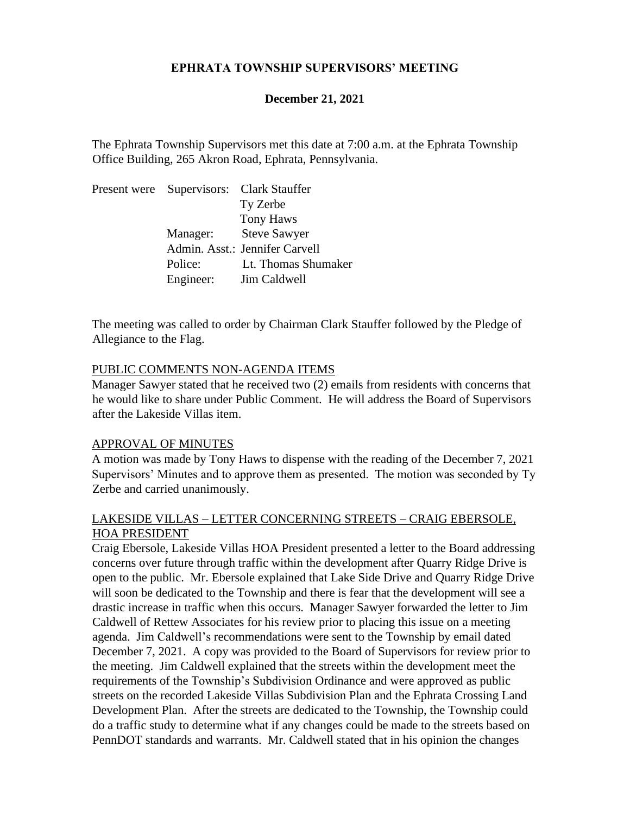## **EPHRATA TOWNSHIP SUPERVISORS' MEETING**

### **December 21, 2021**

The Ephrata Township Supervisors met this date at 7:00 a.m. at the Ephrata Township Office Building, 265 Akron Road, Ephrata, Pennsylvania.

Present were Supervisors: Clark Stauffer Ty Zerbe Tony Haws Manager: Steve Sawyer Admin. Asst.: Jennifer Carvell Police: Lt. Thomas Shumaker Engineer: Jim Caldwell

The meeting was called to order by Chairman Clark Stauffer followed by the Pledge of Allegiance to the Flag.

#### PUBLIC COMMENTS NON-AGENDA ITEMS

Manager Sawyer stated that he received two (2) emails from residents with concerns that he would like to share under Public Comment. He will address the Board of Supervisors after the Lakeside Villas item.

#### APPROVAL OF MINUTES

A motion was made by Tony Haws to dispense with the reading of the December 7, 2021 Supervisors' Minutes and to approve them as presented. The motion was seconded by Ty Zerbe and carried unanimously.

### LAKESIDE VILLAS – LETTER CONCERNING STREETS – CRAIG EBERSOLE, HOA PRESIDENT

Craig Ebersole, Lakeside Villas HOA President presented a letter to the Board addressing concerns over future through traffic within the development after Quarry Ridge Drive is open to the public. Mr. Ebersole explained that Lake Side Drive and Quarry Ridge Drive will soon be dedicated to the Township and there is fear that the development will see a drastic increase in traffic when this occurs. Manager Sawyer forwarded the letter to Jim Caldwell of Rettew Associates for his review prior to placing this issue on a meeting agenda. Jim Caldwell's recommendations were sent to the Township by email dated December 7, 2021. A copy was provided to the Board of Supervisors for review prior to the meeting. Jim Caldwell explained that the streets within the development meet the requirements of the Township's Subdivision Ordinance and were approved as public streets on the recorded Lakeside Villas Subdivision Plan and the Ephrata Crossing Land Development Plan. After the streets are dedicated to the Township, the Township could do a traffic study to determine what if any changes could be made to the streets based on PennDOT standards and warrants. Mr. Caldwell stated that in his opinion the changes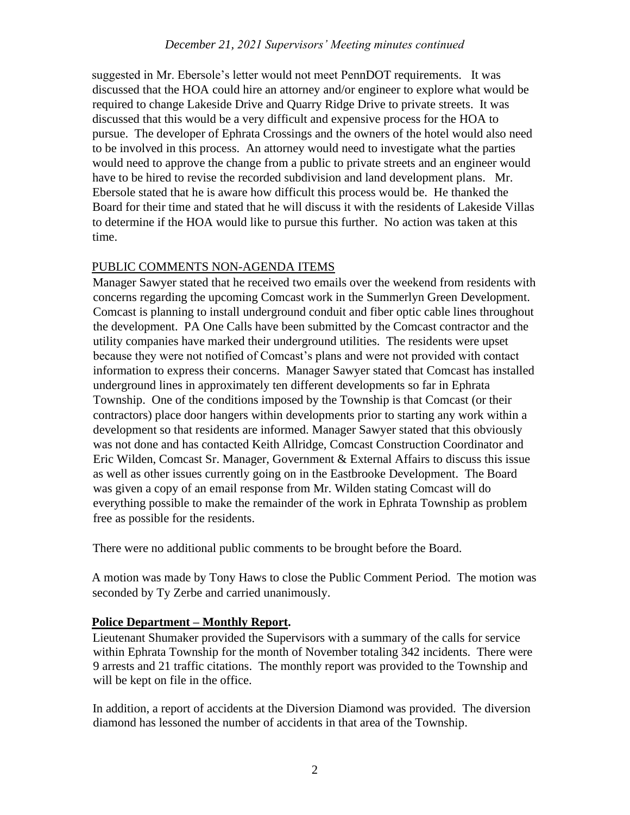## *December 21, 2021 Supervisors' Meeting minutes continued*

suggested in Mr. Ebersole's letter would not meet PennDOT requirements. It was discussed that the HOA could hire an attorney and/or engineer to explore what would be required to change Lakeside Drive and Quarry Ridge Drive to private streets. It was discussed that this would be a very difficult and expensive process for the HOA to pursue. The developer of Ephrata Crossings and the owners of the hotel would also need to be involved in this process. An attorney would need to investigate what the parties would need to approve the change from a public to private streets and an engineer would have to be hired to revise the recorded subdivision and land development plans. Mr. Ebersole stated that he is aware how difficult this process would be. He thanked the Board for their time and stated that he will discuss it with the residents of Lakeside Villas to determine if the HOA would like to pursue this further. No action was taken at this time.

## PUBLIC COMMENTS NON-AGENDA ITEMS

Manager Sawyer stated that he received two emails over the weekend from residents with concerns regarding the upcoming Comcast work in the Summerlyn Green Development. Comcast is planning to install underground conduit and fiber optic cable lines throughout the development. PA One Calls have been submitted by the Comcast contractor and the utility companies have marked their underground utilities. The residents were upset because they were not notified of Comcast's plans and were not provided with contact information to express their concerns. Manager Sawyer stated that Comcast has installed underground lines in approximately ten different developments so far in Ephrata Township. One of the conditions imposed by the Township is that Comcast (or their contractors) place door hangers within developments prior to starting any work within a development so that residents are informed. Manager Sawyer stated that this obviously was not done and has contacted Keith Allridge, Comcast Construction Coordinator and Eric Wilden, Comcast Sr. Manager, Government & External Affairs to discuss this issue as well as other issues currently going on in the Eastbrooke Development. The Board was given a copy of an email response from Mr. Wilden stating Comcast will do everything possible to make the remainder of the work in Ephrata Township as problem free as possible for the residents.

There were no additional public comments to be brought before the Board.

A motion was made by Tony Haws to close the Public Comment Period. The motion was seconded by Ty Zerbe and carried unanimously.

## **Police Department – Monthly Report.**

Lieutenant Shumaker provided the Supervisors with a summary of the calls for service within Ephrata Township for the month of November totaling 342 incidents. There were 9 arrests and 21 traffic citations. The monthly report was provided to the Township and will be kept on file in the office.

In addition, a report of accidents at the Diversion Diamond was provided. The diversion diamond has lessoned the number of accidents in that area of the Township.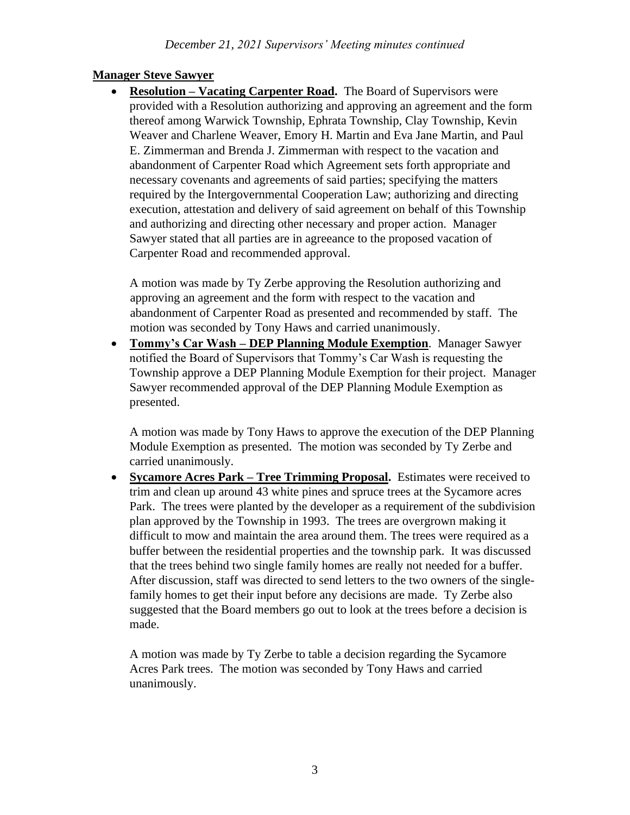# **Manager Steve Sawyer**

• **Resolution – Vacating Carpenter Road.** The Board of Supervisors were provided with a Resolution authorizing and approving an agreement and the form thereof among Warwick Township, Ephrata Township, Clay Township, Kevin Weaver and Charlene Weaver, Emory H. Martin and Eva Jane Martin, and Paul E. Zimmerman and Brenda J. Zimmerman with respect to the vacation and abandonment of Carpenter Road which Agreement sets forth appropriate and necessary covenants and agreements of said parties; specifying the matters required by the Intergovernmental Cooperation Law; authorizing and directing execution, attestation and delivery of said agreement on behalf of this Township and authorizing and directing other necessary and proper action. Manager Sawyer stated that all parties are in agreeance to the proposed vacation of Carpenter Road and recommended approval.

A motion was made by Ty Zerbe approving the Resolution authorizing and approving an agreement and the form with respect to the vacation and abandonment of Carpenter Road as presented and recommended by staff. The motion was seconded by Tony Haws and carried unanimously.

• **Tommy's Car Wash – DEP Planning Module Exemption**. Manager Sawyer notified the Board of Supervisors that Tommy's Car Wash is requesting the Township approve a DEP Planning Module Exemption for their project. Manager Sawyer recommended approval of the DEP Planning Module Exemption as presented.

A motion was made by Tony Haws to approve the execution of the DEP Planning Module Exemption as presented. The motion was seconded by Ty Zerbe and carried unanimously.

• **Sycamore Acres Park – Tree Trimming Proposal.** Estimates were received to trim and clean up around 43 white pines and spruce trees at the Sycamore acres Park. The trees were planted by the developer as a requirement of the subdivision plan approved by the Township in 1993. The trees are overgrown making it difficult to mow and maintain the area around them. The trees were required as a buffer between the residential properties and the township park. It was discussed that the trees behind two single family homes are really not needed for a buffer. After discussion, staff was directed to send letters to the two owners of the singlefamily homes to get their input before any decisions are made. Ty Zerbe also suggested that the Board members go out to look at the trees before a decision is made.

A motion was made by Ty Zerbe to table a decision regarding the Sycamore Acres Park trees. The motion was seconded by Tony Haws and carried unanimously.